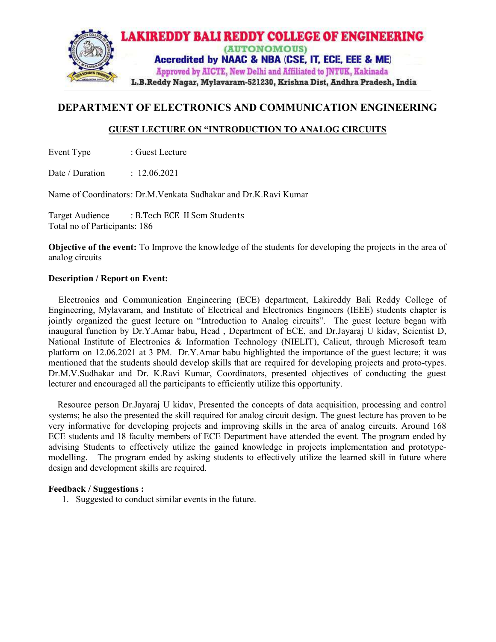

# DEPARTMENT OF ELECTRONICS AND COMMUNICATION ENGINEERING

# GUEST LECTURE ON "INTRODUCTION TO ANALOG CIRCUITS

Event Type : Guest Lecture

Date / Duration : 12.06.2021

Name of Coordinators : Dr.M.Venkata Sudhakar and Dr.K.Ravi Kumar

Target Audience : B.Tech ECE II Sem Students Total no of Participants: 186

Objective of the event: To Improve the knowledge of the students for developing the projects in the area of analog circuits

## Description / Report on Event:

 Electronics and Communication Engineering (ECE) department, Lakireddy Bali Reddy College of Engineering, Mylavaram, and Institute of Electrical and Electronics Engineers (IEEE) students chapter is jointly organized the guest lecture on "Introduction to Analog circuits". The guest lecture began with inaugural function by Dr.Y.Amar babu, Head , Department of ECE, and Dr.Jayaraj U kidav, Scientist D, National Institute of Electronics & Information Technology (NIELIT), Calicut, through Microsoft team platform on 12.06.2021 at 3 PM. Dr.Y.Amar babu highlighted the importance of the guest lecture; it was mentioned that the students should develop skills that are required for developing projects and proto-types. Dr.M.V.Sudhakar and Dr. K.Ravi Kumar, Coordinators, presented objectives of conducting the guest lecturer and encouraged all the participants to efficiently utilize this opportunity.

 Resource person Dr.Jayaraj U kidav, Presented the concepts of data acquisition, processing and control systems; he also the presented the skill required for analog circuit design. The guest lecture has proven to be very informative for developing projects and improving skills in the area of analog circuits. Around 168 ECE students and 18 faculty members of ECE Department have attended the event. The program ended by advising Students to effectively utilize the gained knowledge in projects implementation and prototypemodelling. The program ended by asking students to effectively utilize the learned skill in future where design and development skills are required.

### Feedback / Suggestions :

1. Suggested to conduct similar events in the future.